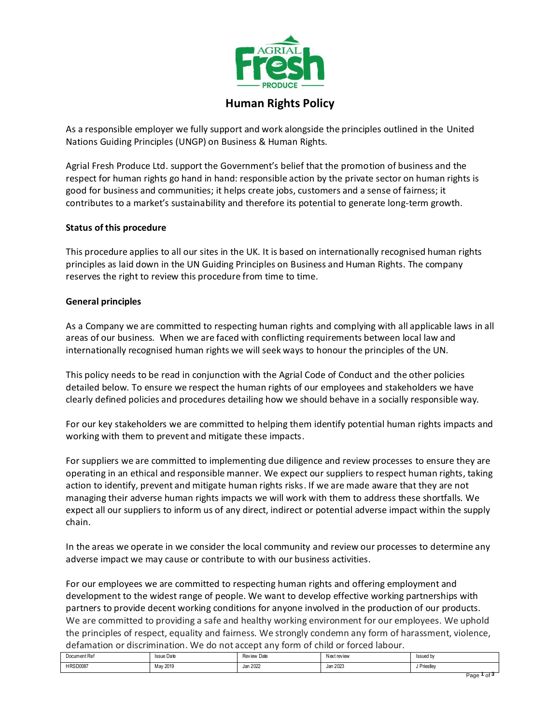

# **Human Rights Policy**

As a responsible employer we fully support and work alongside the principles outlined in the United Nations Guiding Principles (UNGP) on Business & Human Rights.

Agrial Fresh Produce Ltd. support the Government's belief that the promotion of business and the respect for human rights go hand in hand: responsible action by the private sector on human rights is good for business and communities; it helps create jobs, customers and a sense of fairness; it contributes to a market's sustainability and therefore its potential to generate long-term growth.

# **Status of this procedure**

This procedure applies to all our sites in the UK. It is based on internationally recognised human rights principles as laid down in the UN Guiding Principles on Business and Human Rights. The company reserves the right to review this procedure from time to time.

#### **General principles**

As a Company we are committed to respecting human rights and complying with all applicable laws in all areas of our business. When we are faced with conflicting requirements between local law and internationally recognised human rights we will seek ways to honour the principles of the UN.

This policy needs to be read in conjunction with the Agrial Code of Conduct and the other policies detailed below. To ensure we respect the human rights of our employees and stakeholders we have clearly defined policies and procedures detailing how we should behave in a socially responsible way.

For our key stakeholders we are committed to helping them identify potential human rights impacts and working with them to prevent and mitigate these impacts.

For suppliers we are committed to implementing due diligence and review processes to ensure they are operating in an ethical and responsible manner. We expect our suppliers to respect human rights, taking action to identify, prevent and mitigate human rights risks. If we are made aware that they are not managing their adverse human rights impacts we will work with them to address these shortfalls. We expect all our suppliers to inform us of any direct, indirect or potential adverse impact within the supply chain.

In the areas we operate in we consider the local community and review our processes to determine any adverse impact we may cause or contribute to with our business activities.

For our employees we are committed to respecting human rights and offering employment and development to the widest range of people. We want to develop effective working partnerships with partners to provide decent working conditions for anyone involved in the production of our products. We are committed to providing a safe and healthy working environment for our employees. We uphold the principles of respect, equality and fairness. We strongly condemn any form of harassment, violence, defamation or discrimination. We do not accept any form of child or forced labour.

| Document Ref | <b>Issue Date</b> | Review Date | Nextreview | Issued by   |  |  |
|--------------|-------------------|-------------|------------|-------------|--|--|
| HRSD0087     | May 2019          | Jan 2022    | Jan 2023   | J Priestley |  |  |
|              |                   |             |            | Paqe        |  |  |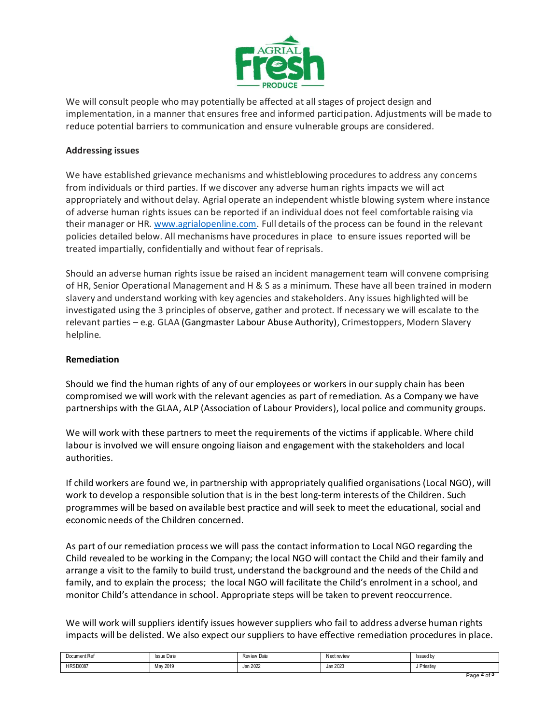

We will consult people who may potentially be affected at all stages of project design and implementation, in a manner that ensures free and informed participation. Adjustments will be made to reduce potential barriers to communication and ensure vulnerable groups are considered.

## **Addressing issues**

We have established grievance mechanisms and whistleblowing procedures to address any concerns from individuals or third parties. If we discover any adverse human rights impacts we will act appropriately and without delay. Agrial operate an independent whistle blowing system where instance of adverse human rights issues can be reported if an individual does not feel comfortable raising via their manager or HR. [www.agrialopenline.com.](http://www.agrialopenline.com/) Full details of the process can be found in the relevant policies detailed below. All mechanisms have procedures in place to ensure issues reported will be treated impartially, confidentially and without fear of reprisals.

Should an adverse human rights issue be raised an incident management team will convene comprising of HR, Senior Operational Management and H & S as a minimum. These have all been trained in modern slavery and understand working with key agencies and stakeholders. Any issues highlighted will be investigated using the 3 principles of observe, gather and protect. If necessary we will escalate to the relevant parties – e.g. GLAA (Gangmaster Labour Abuse Authority), Crimestoppers, Modern Slavery helpline.

## **Remediation**

Should we find the human rights of any of our employees or workers in our supply chain has been compromised we will work with the relevant agencies as part of remediation. As a Company we have partnerships with the GLAA, ALP (Association of Labour Providers), local police and community groups.

We will work with these partners to meet the requirements of the victims if applicable. Where child labour is involved we will ensure ongoing liaison and engagement with the stakeholders and local authorities.

If child workers are found we, in partnership with appropriately qualified organisations (Local NGO), will work to develop a responsible solution that is in the best long-term interests of the Children. Such programmes will be based on available best practice and will seek to meet the educational, social and economic needs of the Children concerned.

As part of our remediation process we will pass the contact information to Local NGO regarding the Child revealed to be working in the Company; the local NGO will contact the Child and their family and arrange a visit to the family to build trust, understand the background and the needs of the Child and family, and to explain the process; the local NGO will facilitate the Child's enrolment in a school, and monitor Child's attendance in school. Appropriate steps will be taken to prevent reoccurrence.

We will work will suppliers identify issues however suppliers who fail to address adverse human rights impacts will be delisted. We also expect our suppliers to have effective remediation procedures in place.

| Document Ref    | <b>Issue Date</b> | <b>Review Date</b> | Nextreview | Issued by<br>. |
|-----------------|-------------------|--------------------|------------|----------------|
| <b>HRSD0087</b> | May 2019          | Jan 2022           | Jan 2023   | Priestlev      |
|                 |                   |                    |            |                |